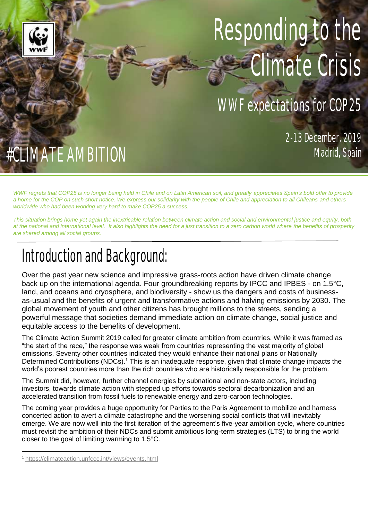# Responding to the Climate Crisis

## WWF expectations for COP25

2-13 December, 2019

# #CLIMATE AMBITION

*WWF regrets that COP25 is no longer being held in Chile and on Latin American soil, and greatly appreciates Spain's bold offer to provide a home for the COP on such short notice. We express our solidarity with the people of Chile and appreciation to all Chileans and others worldwide who had been working very hard to make COP25 a success.*

*This situation brings home yet again the inextricable relation between climate action and social and environmental justice and equity, both at the national and international level. It also highlights the need for a just transition to a zero carbon world where the benefits of prosperity are shared among all social groups.*

# Introduction and Background:

Over the past year new science and impressive grass-roots action have driven climate change back up on the international agenda. Four groundbreaking reports by IPCC and IPBES - on 1.5°C, land, and oceans and cryosphere, and biodiversity - show us the dangers and costs of businessas-usual and the benefits of urgent and transformative actions and halving emissions by 2030. The global movement of youth and other citizens has brought millions to the streets, sending a powerful message that societies demand immediate action on climate change, social justice and equitable access to the benefits of development.

The Climate Action Summit 2019 called for greater climate ambition from countries. While it was framed as "the start of the race," the response was weak from countries representing the vast majority of global emissions. Seventy other countries indicated they would enhance their national plans or Nationally Determined Contributions (NDCs).<sup>1</sup> This is an inadequate response, given that climate change impacts the world's poorest countries more than the rich countries who are historically responsible for the problem.

The Summit did, however, further channel energies by subnational and non-state actors, including investors, towards climate action with stepped up efforts towards sectoral decarbonization and an accelerated transition from fossil fuels to renewable energy and zero-carbon technologies.

The coming year provides a huge opportunity for Parties to the Paris Agreement to mobilize and harness concerted action to avert a climate catastrophe and the worsening social conflicts that will inevitably emerge. We are now well into the first iteration of the agreement's five-year ambition cycle, where countries must revisit the ambition of their NDCs and submit ambitious long-term strategies (LTS) to bring the world closer to the goal of limiting warming to 1.5°C.

 $\overline{\phantom{a}}$ 

<sup>1</sup> <https://climateaction.unfccc.int/views/events.html>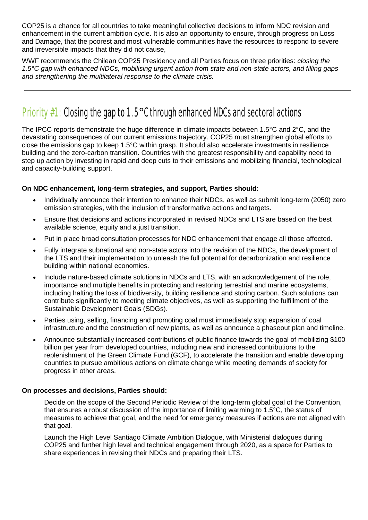COP25 is a chance for all countries to take meaningful collective decisions to inform NDC revision and enhancement in the current ambition cycle. It is also an opportunity to ensure, through progress on Loss and Damage, that the poorest and most vulnerable communities have the resources to respond to severe and irreversible impacts that they did not cause,

WWF recommends the Chilean COP25 Presidency and all Parties focus on three priorities: *closing the 1.5°C gap with enhanced NDCs, mobilising urgent action from state and non-state actors, and filling gaps and strengthening the multilateral response to the climate crisis.*

## Priority #1:Closing the gap to 1.5°C through enhanced NDCs and sectoral actions

The IPCC reports demonstrate the huge difference in climate impacts between 1.5°C and 2°C, and the devastating consequences of our current emissions trajectory. COP25 must strengthen global efforts to close the emissions gap to keep 1.5°C within grasp. It should also accelerate investments in resilience building and the zero-carbon transition. Countries with the greatest responsibility and capability need to step up action by investing in rapid and deep cuts to their emissions and mobilizing financial, technological and capacity-building support.

#### **On NDC enhancement, long-term strategies, and support, Parties should:**

- Individually announce their intention to enhance their NDCs, as well as submit long-term (2050) zero emission strategies, with the inclusion of transformative actions and targets.
- Ensure that decisions and actions incorporated in revised NDCs and LTS are based on the best available science, equity and a just transition.
- Put in place broad consultation processes for NDC enhancement that engage all those affected.
- Fully integrate subnational and non-state actors into the revision of the NDCs, the development of the LTS and their implementation to unleash the full potential for decarbonization and resilience building within national economies.
- Include nature-based climate solutions in NDCs and LTS, with an acknowledgement of the role, importance and multiple benefits in protecting and restoring terrestrial and marine ecosystems, including halting the loss of biodiversity, building resilience and storing carbon. Such solutions can contribute significantly to meeting climate objectives, as well as supporting the fulfillment of the Sustainable Development Goals (SDGs).
- Parties using, selling, financing and promoting coal must immediately stop expansion of coal infrastructure and the construction of new plants, as well as announce a phaseout plan and timeline.
- Announce substantially increased contributions of public finance towards the goal of mobilizing \$100 billion per year from developed countries, including new and increased contributions to the replenishment of the Green Climate Fund (GCF), to accelerate the transition and enable developing countries to pursue ambitious actions on climate change while meeting demands of society for progress in other areas.

#### **On processes and decisions, Parties should:**

Decide on the scope of the Second Periodic Review of the long-term global goal of the Convention, that ensures a robust discussion of the importance of limiting warming to 1.5°C, the status of measures to achieve that goal, and the need for emergency measures if actions are not aligned with that goal.

Launch the High Level Santiago Climate Ambition Dialogue, with Ministerial dialogues during COP25 and further high level and technical engagement through 2020, as a space for Parties to share experiences in revising their NDCs and preparing their LTS.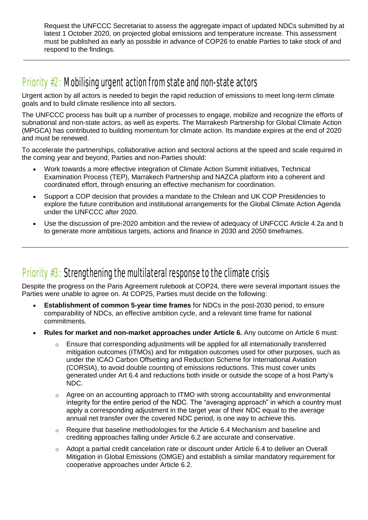Request the UNFCCC Secretariat to assess the aggregate impact of updated NDCs submitted by at latest 1 October 2020, on projected global emissions and temperature increase. This assessment must be published as early as possible in advance of COP26 to enable Parties to take stock of and respond to the findings.

### Priority #2: Mobilising urgent action from state and non-state actors

Urgent action by all actors is needed to begin the rapid reduction of emissions to meet long-term climate goals and to build climate resilience into all sectors.

The UNFCCC process has built up a number of processes to engage, mobilize and recognize the efforts of subnational and non-state actors, as well as experts. The Marrakesh Partnership for Global Climate Action (MPGCA) has contributed to building momentum for climate action. Its mandate expires at the end of 2020 and must be renewed.

To accelerate the partnerships, collaborative action and sectoral actions at the speed and scale required in the coming year and beyond, Parties and non-Parties should:

- Work towards a more effective integration of Climate Action Summit initiatives, Technical Examination Process (TEP), Marrakech Partnership and NAZCA platform into a coherent and coordinated effort, through ensuring an effective mechanism for coordination.
- Support a COP decision that provides a mandate to the Chilean and UK COP Presidencies to explore the future contribution and institutional arrangements for the Global Climate Action Agenda under the UNFCCC after 2020.
- Use the discussion of pre-2020 ambition and the review of adequacy of UNFCCC Article 4.2a and b to generate more ambitious targets, actions and finance in 2030 and 2050 timeframes.

### Priority  $#3$ : Strengthening the multilateral response to the climate crisis

Despite the progress on the Paris Agreement rulebook at COP24, there were several important issues the Parties were unable to agree on. At COP25, Parties must decide on the following:

- **Establishment of common 5-year time frames** for NDCs in the post-2030 period, to ensure comparability of NDCs, an effective ambition cycle, and a relevant time frame for national commitments.
- **Rules for market and non-market approaches under Article 6.** Any outcome on Article 6 must:
	- $\circ$  Ensure that corresponding adjustments will be applied for all internationally transferred mitigation outcomes (ITMOs) and for mitigation outcomes used for other purposes, such as under the ICAO Carbon Offsetting and Reduction Scheme for International Aviation (CORSIA), to avoid double counting of emissions reductions. This must cover units generated under Art 6.4 and reductions both inside or outside the scope of a host Party's NDC.
	- o Agree on an accounting approach to ITMO with strong accountability and environmental integrity for the entire period of the NDC. The "averaging approach" in which a country must apply a corresponding adjustment in the target year of their NDC equal to the average annual net transfer over the covered NDC period, is one way to achieve this.
	- $\circ$  Require that baseline methodologies for the Article 6.4 Mechanism and baseline and crediting approaches falling under Article 6.2 are accurate and conservative.
	- o Adopt a partial credit cancelation rate or discount under Article 6.4 to deliver an Overall Mitigation in Global Emissions (OMGE) and establish a similar mandatory requirement for cooperative approaches under Article 6.2.